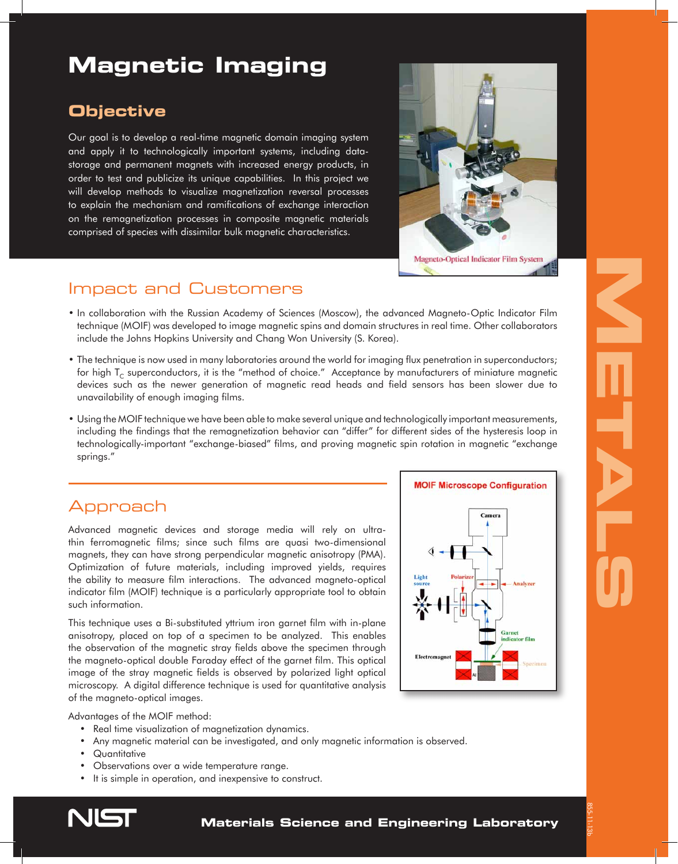# **Magnetic Imaging**

## **Objective**

Our goal is to develop a real-time magnetic domain imaging system and apply it to technologically important systems, including datastorage and permanent magnets with increased energy products, in order to test and publicize its unique capabilities. In this project we will develop methods to visualize magnetization reversal processes to explain the mechanism and ramifications of exchange interaction on the remagnetization processes in composite magnetic materials comprised of species with dissimilar bulk magnetic characteristics.



Magneto-Optical Indicator Film System

## Impact and Customers

- In collaboration with the Russian Academy of Sciences (Moscow), the advanced Magneto-Optic Indicator Film technique (MOIF) was developed to image magnetic spins and domain structures in real time. Other collaborators include the Johns Hopkins University and Chang Won University (S. Korea).
- The technique is now used in many laboratories around the world for imaging flux penetration in superconductors; for high T<sub>C</sub> superconductors, it is the "method of choice." Acceptance by manufacturers of miniature magnetic devices such as the newer generation of magnetic read heads and field sensors has been slower due to unavailability of enough imaging films.
- Using the MOIF technique we have been able to make several unique and technologically important measurements, including the findings that the remagnetization behavior can "differ" for different sides of the hysteresis loop in technologically-important "exchange-biased" films, and proving magnetic spin rotation in magnetic "exchange springs."

## Approach

Advanced magnetic devices and storage media will rely on ultrathin ferromagnetic films; since such films are quasi two-dimensional magnets, they can have strong perpendicular magnetic anisotropy (PMA). Optimization of future materials, including improved yields, requires the ability to measure film interactions. The advanced magneto-optical indicator film (MOIF) technique is a particularly appropriate tool to obtain such information.

This technique uses a Bi-substituted yttrium iron garnet film with in-plane anisotropy, placed on top of a specimen to be analyzed. This enables the observation of the magnetic stray fields above the specimen through the magneto-optical double Faraday effect of the garnet film. This optical image of the stray magnetic fields is observed by polarized light optical microscopy. A digital difference technique is used for quantitative analysis of the magneto-optical images.

Advantages of the MOIF method:

- Real time visualization of magnetization dynamics.
- Any magnetic material can be investigated, and only magnetic information is observed.
- Quantitative
- Observations over a wide temperature range.
- It is simple in operation, and inexpensive to construct.



855-11-13b